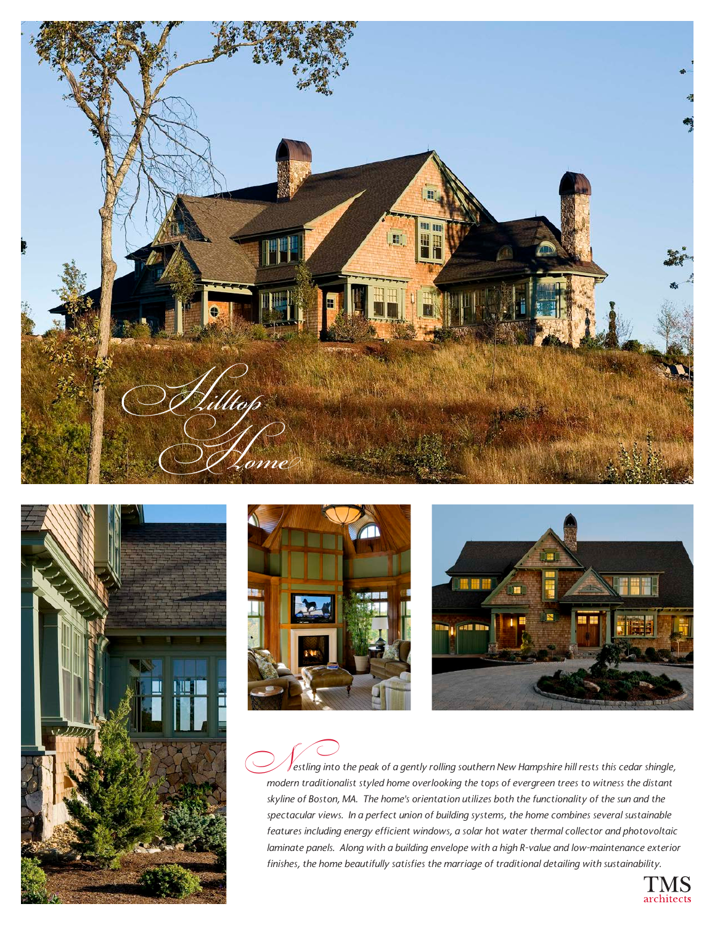







 $\mathcal J$ estling into the peak of a gently rolling southern New Hampshire hill rests this cedar shingle, estling into the peak of a gently rolling southern New Hampshire hill rests this cedar shingle,<br>modern traditionalist styled home overlooking the tops of evergreen trees to witness the distant *skyline of Boston, MA. The home's orientation utilizes both the functionality of the sun and the spectacular views. In a perfect union of building systems, the home combines several sustainable features including energy efficient windows, a solar hot water thermal collector and photovoltaic laminate panels. Along with a building envelope with a high R-value and low-maintenance exterior finishes, the home beautifully satisfies the marriage of traditional detailing with sustainability.*